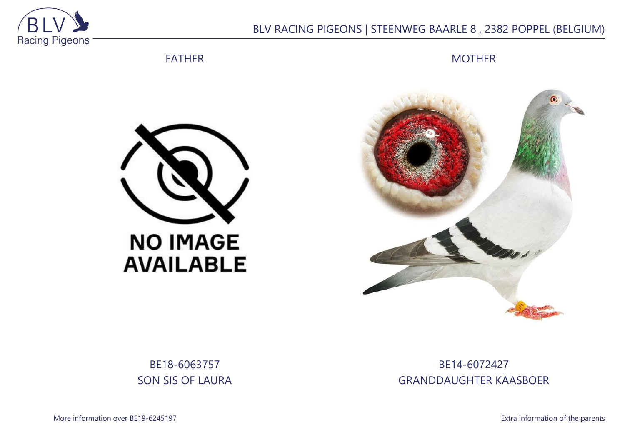

## BLV RACING PIGEONS | STEENWEG BAARLE 8 , 2382 POPPEL (BELGIUM)

FATHER

**MOTHER** 





BE18-6063757 SON SIS OF LAURA

BE14-6072427 GRANDDAUGHTER KAASBOER

More information over BE19-6245197 **Extra information of the parents**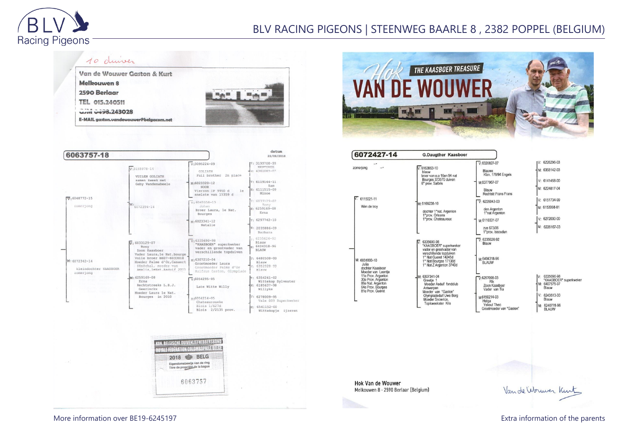

## BLV RACING PIGEONS | STEENWEG BAARLE 8 , 2382 POPPEL (BELGIUM)







6072427-14 **G.Daugther Kaasboer** IV: 6226296-03  $\sqrt{6320827-07}$ zomerjong  $\sim$  $\sqrt{6163863} - 10$ M: 6358142-03 Blauwe<br>Klzn. 178/94 Engels blauw broer van o.a 16en 94 nat Bourges 373570 duiven V: 6141458-00 M-6377967-07 6° prov. Salbris M: 6224817-04 Blauw Rechtstr.Frans Frans 6115021-11 V: 6151734-99  $\nabla: 6226043-03$ M: 6166238-10 Wim de trov M: 6153998-01 den Argenton<br>1°nat Argenton dochter 1°nat. Argenton 1°prov. Orleans V: 6272030-00 1°prov. Chateauroux M-6110331-07 zus 673/06 M: 6226167-03 1°prov. Issoudun  $\nabla \cdot 6235626.92$ 6335690-98 Blauw "KAASBOER" superkweker vader en grootvader van verschillende topduiver 1° Nat Gueret 14245d M:6404318-96<br>BLAUW M: 6031800-10 1° Nat Bourges 17138d  $Julia$ 1° Nat Z Argenton 3740d dochter Kaasboer Moeder van Leentje M-6307341-04 6335690-98<br>\*KAASBOER\* superkweker  $\n **W**:6257098-03\n$ 30e Prov. Argenton Greetje 1<br>Moeder Asduif fondclub Rik 86e Nat. Argenton<br>64e Prov. Bourges M: 6407575-97 Zoon Kaasboer Antwerpen<br>Moeder van "Gaston" **Rlauw** Vader van Tia 81e Prov. Guéret 6243513-00 Olympiadeduif Uwe Berg<br>Moeder Snowrice, M6150214-03 Blauw Helga Topkweekster Kris Yskout Theo M: 6240778-96 Grootmoeder van "Gaston BLAUW

**Hok Van de Wouwer** Melkouwen 8 - 2590 Berlaar (Belgium)

Vande Wormer Kint